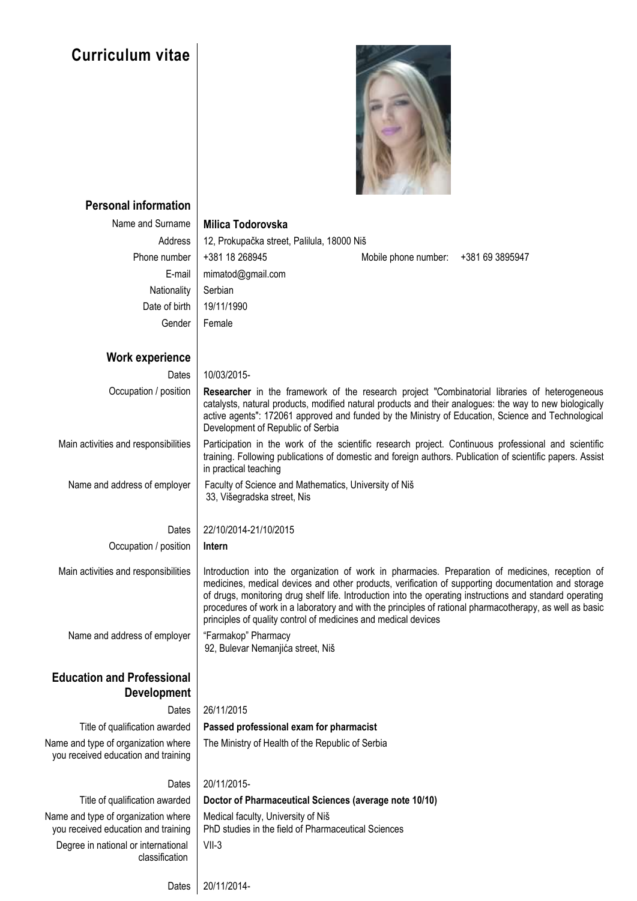## **Curriculum vitae**



| <b>Personal information</b>                                                |                                                                                                                                                                                                                                                                                                                                                            |  |  |  |  |
|----------------------------------------------------------------------------|------------------------------------------------------------------------------------------------------------------------------------------------------------------------------------------------------------------------------------------------------------------------------------------------------------------------------------------------------------|--|--|--|--|
| Name and Surname                                                           | Milica Todorovska                                                                                                                                                                                                                                                                                                                                          |  |  |  |  |
| Address                                                                    | 12, Prokupačka street, Palilula, 18000 Niš                                                                                                                                                                                                                                                                                                                 |  |  |  |  |
| Phone number                                                               | +381 18 268945<br>Mobile phone number: +381 69 3895947                                                                                                                                                                                                                                                                                                     |  |  |  |  |
| E-mail                                                                     | mimatod@gmail.com                                                                                                                                                                                                                                                                                                                                          |  |  |  |  |
| Nationality                                                                | Serbian                                                                                                                                                                                                                                                                                                                                                    |  |  |  |  |
| Date of birth                                                              | 19/11/1990                                                                                                                                                                                                                                                                                                                                                 |  |  |  |  |
| Gender                                                                     | Female                                                                                                                                                                                                                                                                                                                                                     |  |  |  |  |
|                                                                            |                                                                                                                                                                                                                                                                                                                                                            |  |  |  |  |
| <b>Work experience</b>                                                     |                                                                                                                                                                                                                                                                                                                                                            |  |  |  |  |
| Dates                                                                      | 10/03/2015-                                                                                                                                                                                                                                                                                                                                                |  |  |  |  |
| Occupation / position                                                      | <b>Researcher</b> in the framework of the research project "Combinatorial libraries of heterogeneous<br>catalysts, natural products, modified natural products and their analogues: the way to new biologically<br>active agents": 172061 approved and funded by the Ministry of Education, Science and Technological<br>Development of Republic of Serbia |  |  |  |  |
| Main activities and responsibilities                                       | Participation in the work of the scientific research project. Continuous professional and scientific<br>training. Following publications of domestic and foreign authors. Publication of scientific papers. Assist<br>in practical teaching                                                                                                                |  |  |  |  |
| Name and address of employer                                               | Faculty of Science and Mathematics, University of Niš<br>33, Višegradska street, Nis                                                                                                                                                                                                                                                                       |  |  |  |  |
| Dates                                                                      | 22/10/2014-21/10/2015                                                                                                                                                                                                                                                                                                                                      |  |  |  |  |
| Occupation / position                                                      | Intern                                                                                                                                                                                                                                                                                                                                                     |  |  |  |  |
| Main activities and responsibilities                                       | Introduction into the organization of work in pharmacies. Preparation of medicines, reception of<br>medicines, medical devices and other products, verification of supporting documentation and storage<br>of drugs, monitoring drug shelf life. Introduction into the operating instructions and standard operating                                       |  |  |  |  |
|                                                                            | procedures of work in a laboratory and with the principles of rational pharmacotherapy, as well as basic<br>principles of quality control of medicines and medical devices                                                                                                                                                                                 |  |  |  |  |
| Name and address of employer                                               | "Farmakop" Pharmacy<br>92, Bulevar Nemanjića street, Niš                                                                                                                                                                                                                                                                                                   |  |  |  |  |
| <b>Education and Professional</b><br><b>Development</b>                    |                                                                                                                                                                                                                                                                                                                                                            |  |  |  |  |
| Dates                                                                      | 26/11/2015                                                                                                                                                                                                                                                                                                                                                 |  |  |  |  |
| Title of qualification awarded                                             | Passed professional exam for pharmacist                                                                                                                                                                                                                                                                                                                    |  |  |  |  |
| Name and type of organization where<br>you received education and training | The Ministry of Health of the Republic of Serbia                                                                                                                                                                                                                                                                                                           |  |  |  |  |
| Dates                                                                      | 20/11/2015-                                                                                                                                                                                                                                                                                                                                                |  |  |  |  |
| Title of qualification awarded                                             | Doctor of Pharmaceutical Sciences (average note 10/10)                                                                                                                                                                                                                                                                                                     |  |  |  |  |
| Name and type of organization where<br>you received education and training | Medical faculty, University of Niš<br>PhD studies in the field of Pharmaceutical Sciences                                                                                                                                                                                                                                                                  |  |  |  |  |
| Degree in national or international<br>classification                      | $VII-3$                                                                                                                                                                                                                                                                                                                                                    |  |  |  |  |

Dates 20/11/2014-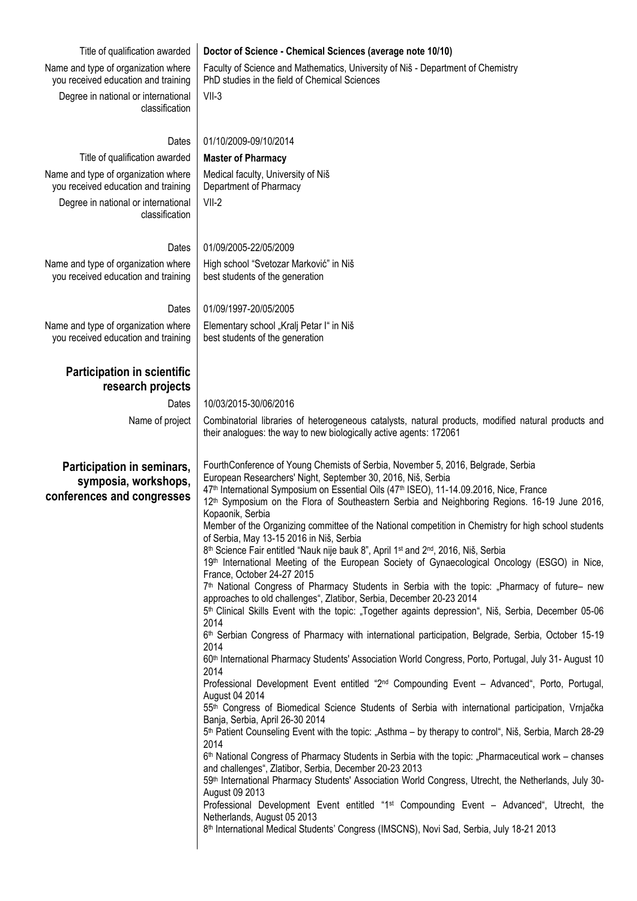| Title of qualification awarded<br>Name and type of organization where            | Doctor of Science - Chemical Sciences (average note 10/10)                                                                                                                                                                                                                                                                                                                                                                                                                                                                                                                                                                                                                                                                                                                                                                                                                                                                                                                                                                                                                                                                                                                                                                                                                                                                                                                                                                                                                                                                                                                                                                                                                                                                                                                                                                                                                                                                                                                                                                                                                                                                                                                                                                                                                                                                   |  |  |  |  |
|----------------------------------------------------------------------------------|------------------------------------------------------------------------------------------------------------------------------------------------------------------------------------------------------------------------------------------------------------------------------------------------------------------------------------------------------------------------------------------------------------------------------------------------------------------------------------------------------------------------------------------------------------------------------------------------------------------------------------------------------------------------------------------------------------------------------------------------------------------------------------------------------------------------------------------------------------------------------------------------------------------------------------------------------------------------------------------------------------------------------------------------------------------------------------------------------------------------------------------------------------------------------------------------------------------------------------------------------------------------------------------------------------------------------------------------------------------------------------------------------------------------------------------------------------------------------------------------------------------------------------------------------------------------------------------------------------------------------------------------------------------------------------------------------------------------------------------------------------------------------------------------------------------------------------------------------------------------------------------------------------------------------------------------------------------------------------------------------------------------------------------------------------------------------------------------------------------------------------------------------------------------------------------------------------------------------------------------------------------------------------------------------------------------------|--|--|--|--|
| you received education and training                                              | Faculty of Science and Mathematics, University of Niš - Department of Chemistry<br>PhD studies in the field of Chemical Sciences                                                                                                                                                                                                                                                                                                                                                                                                                                                                                                                                                                                                                                                                                                                                                                                                                                                                                                                                                                                                                                                                                                                                                                                                                                                                                                                                                                                                                                                                                                                                                                                                                                                                                                                                                                                                                                                                                                                                                                                                                                                                                                                                                                                             |  |  |  |  |
| Degree in national or international<br>classification                            | $VII-3$                                                                                                                                                                                                                                                                                                                                                                                                                                                                                                                                                                                                                                                                                                                                                                                                                                                                                                                                                                                                                                                                                                                                                                                                                                                                                                                                                                                                                                                                                                                                                                                                                                                                                                                                                                                                                                                                                                                                                                                                                                                                                                                                                                                                                                                                                                                      |  |  |  |  |
| Dates                                                                            | 01/10/2009-09/10/2014                                                                                                                                                                                                                                                                                                                                                                                                                                                                                                                                                                                                                                                                                                                                                                                                                                                                                                                                                                                                                                                                                                                                                                                                                                                                                                                                                                                                                                                                                                                                                                                                                                                                                                                                                                                                                                                                                                                                                                                                                                                                                                                                                                                                                                                                                                        |  |  |  |  |
| Title of qualification awarded                                                   | <b>Master of Pharmacy</b>                                                                                                                                                                                                                                                                                                                                                                                                                                                                                                                                                                                                                                                                                                                                                                                                                                                                                                                                                                                                                                                                                                                                                                                                                                                                                                                                                                                                                                                                                                                                                                                                                                                                                                                                                                                                                                                                                                                                                                                                                                                                                                                                                                                                                                                                                                    |  |  |  |  |
| Name and type of organization where<br>you received education and training       | Medical faculty, University of Niš<br>Department of Pharmacy                                                                                                                                                                                                                                                                                                                                                                                                                                                                                                                                                                                                                                                                                                                                                                                                                                                                                                                                                                                                                                                                                                                                                                                                                                                                                                                                                                                                                                                                                                                                                                                                                                                                                                                                                                                                                                                                                                                                                                                                                                                                                                                                                                                                                                                                 |  |  |  |  |
| Degree in national or international<br>classification                            | $VII-2$                                                                                                                                                                                                                                                                                                                                                                                                                                                                                                                                                                                                                                                                                                                                                                                                                                                                                                                                                                                                                                                                                                                                                                                                                                                                                                                                                                                                                                                                                                                                                                                                                                                                                                                                                                                                                                                                                                                                                                                                                                                                                                                                                                                                                                                                                                                      |  |  |  |  |
| Dates                                                                            | 01/09/2005-22/05/2009                                                                                                                                                                                                                                                                                                                                                                                                                                                                                                                                                                                                                                                                                                                                                                                                                                                                                                                                                                                                                                                                                                                                                                                                                                                                                                                                                                                                                                                                                                                                                                                                                                                                                                                                                                                                                                                                                                                                                                                                                                                                                                                                                                                                                                                                                                        |  |  |  |  |
| Name and type of organization where                                              | High school "Svetozar Marković" in Niš                                                                                                                                                                                                                                                                                                                                                                                                                                                                                                                                                                                                                                                                                                                                                                                                                                                                                                                                                                                                                                                                                                                                                                                                                                                                                                                                                                                                                                                                                                                                                                                                                                                                                                                                                                                                                                                                                                                                                                                                                                                                                                                                                                                                                                                                                       |  |  |  |  |
| you received education and training                                              | best students of the generation                                                                                                                                                                                                                                                                                                                                                                                                                                                                                                                                                                                                                                                                                                                                                                                                                                                                                                                                                                                                                                                                                                                                                                                                                                                                                                                                                                                                                                                                                                                                                                                                                                                                                                                                                                                                                                                                                                                                                                                                                                                                                                                                                                                                                                                                                              |  |  |  |  |
| Dates                                                                            | 01/09/1997-20/05/2005                                                                                                                                                                                                                                                                                                                                                                                                                                                                                                                                                                                                                                                                                                                                                                                                                                                                                                                                                                                                                                                                                                                                                                                                                                                                                                                                                                                                                                                                                                                                                                                                                                                                                                                                                                                                                                                                                                                                                                                                                                                                                                                                                                                                                                                                                                        |  |  |  |  |
| Name and type of organization where<br>you received education and training       | Elementary school "Kralj Petar I" in Niš<br>best students of the generation                                                                                                                                                                                                                                                                                                                                                                                                                                                                                                                                                                                                                                                                                                                                                                                                                                                                                                                                                                                                                                                                                                                                                                                                                                                                                                                                                                                                                                                                                                                                                                                                                                                                                                                                                                                                                                                                                                                                                                                                                                                                                                                                                                                                                                                  |  |  |  |  |
| <b>Participation in scientific</b><br>research projects                          |                                                                                                                                                                                                                                                                                                                                                                                                                                                                                                                                                                                                                                                                                                                                                                                                                                                                                                                                                                                                                                                                                                                                                                                                                                                                                                                                                                                                                                                                                                                                                                                                                                                                                                                                                                                                                                                                                                                                                                                                                                                                                                                                                                                                                                                                                                                              |  |  |  |  |
| Dates                                                                            | 10/03/2015-30/06/2016                                                                                                                                                                                                                                                                                                                                                                                                                                                                                                                                                                                                                                                                                                                                                                                                                                                                                                                                                                                                                                                                                                                                                                                                                                                                                                                                                                                                                                                                                                                                                                                                                                                                                                                                                                                                                                                                                                                                                                                                                                                                                                                                                                                                                                                                                                        |  |  |  |  |
| Name of project                                                                  | Combinatorial libraries of heterogeneous catalysts, natural products, modified natural products and<br>their analogues: the way to new biologically active agents: 172061                                                                                                                                                                                                                                                                                                                                                                                                                                                                                                                                                                                                                                                                                                                                                                                                                                                                                                                                                                                                                                                                                                                                                                                                                                                                                                                                                                                                                                                                                                                                                                                                                                                                                                                                                                                                                                                                                                                                                                                                                                                                                                                                                    |  |  |  |  |
| Participation in seminars,<br>symposia, workshops,<br>conferences and congresses | FourthConference of Young Chemists of Serbia, November 5, 2016, Belgrade, Serbia<br>European Researchers' Night, September 30, 2016, Niš, Serbia<br>47th International Symposium on Essential Oils (47th ISEO), 11-14.09.2016, Nice, France<br>12 <sup>th</sup> Symposium on the Flora of Southeastern Serbia and Neighboring Regions. 16-19 June 2016,<br>Kopaonik, Serbia<br>Member of the Organizing committee of the National competition in Chemistry for high school students<br>of Serbia, May 13-15 2016 in Niš, Serbia<br>8 <sup>th</sup> Science Fair entitled "Nauk nije bauk 8", April 1 <sup>st</sup> and 2 <sup>nd</sup> , 2016, Niš, Serbia<br>19th International Meeting of the European Society of Gynaecological Oncology (ESGO) in Nice,<br>France, October 24-27 2015<br>7 <sup>th</sup> National Congress of Pharmacy Students in Serbia with the topic: "Pharmacy of future- new<br>approaches to old challenges", Zlatibor, Serbia, December 20-23 2014<br>5 <sup>th</sup> Clinical Skills Event with the topic: "Together againts depression", Niš, Serbia, December 05-06<br>2014<br>6 <sup>th</sup> Serbian Congress of Pharmacy with international participation, Belgrade, Serbia, October 15-19<br>2014<br>60 <sup>th</sup> International Pharmacy Students' Association World Congress, Porto, Portugal, July 31- August 10<br>2014<br>Professional Development Event entitled "2 <sup>nd</sup> Compounding Event - Advanced", Porto, Portugal,<br>August 04 2014<br>55th Congress of Biomedical Science Students of Serbia with international participation, Vrnjačka<br>Banja, Serbia, April 26-30 2014<br>5 <sup>th</sup> Patient Counseling Event with the topic: "Asthma – by therapy to control", Niš, Serbia, March 28-29<br>2014<br>6 <sup>th</sup> National Congress of Pharmacy Students in Serbia with the topic: "Pharmaceutical work – chanses<br>and challenges", Zlatibor, Serbia, December 20-23 2013<br>59th International Pharmacy Students' Association World Congress, Utrecht, the Netherlands, July 30-<br>August 09 2013<br>Professional Development Event entitled "1 <sup>st</sup> Compounding Event - Advanced", Utrecht, the<br>Netherlands, August 05 2013<br>8 <sup>th</sup> International Medical Students' Congress (IMSCNS), Novi Sad, Serbia, July 18-21 2013 |  |  |  |  |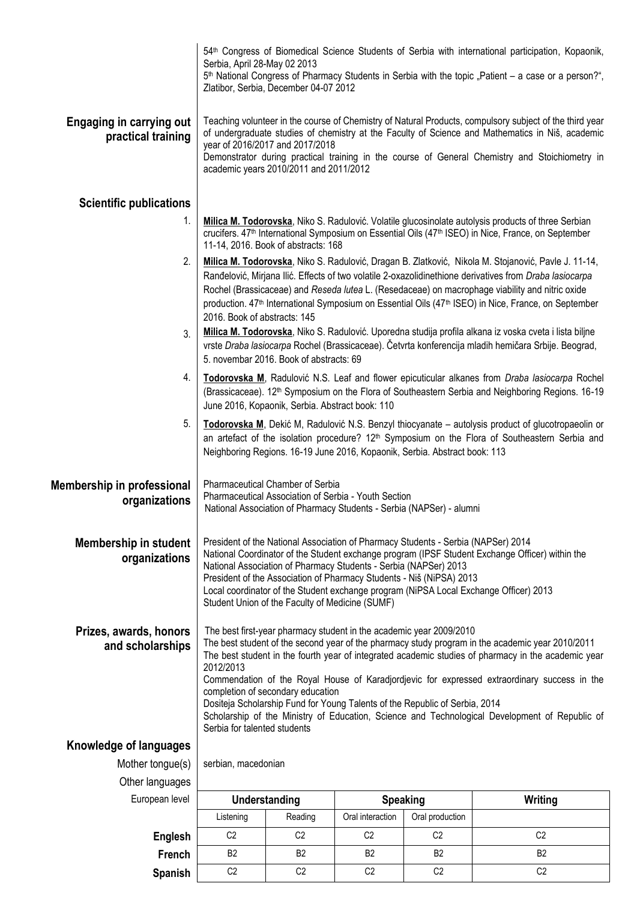|                                                       | 54th Congress of Biomedical Science Students of Serbia with international participation, Kopaonik,<br>Serbia, April 28-May 02 2013<br>5 <sup>th</sup> National Congress of Pharmacy Students in Serbia with the topic "Patient – a case or a person?",<br>Zlatibor, Serbia, December 04-07 2012                                                                                                                                                                                                                                                                                                                                                   |  |  |  |  |  |  |
|-------------------------------------------------------|---------------------------------------------------------------------------------------------------------------------------------------------------------------------------------------------------------------------------------------------------------------------------------------------------------------------------------------------------------------------------------------------------------------------------------------------------------------------------------------------------------------------------------------------------------------------------------------------------------------------------------------------------|--|--|--|--|--|--|
| <b>Engaging in carrying out</b><br>practical training | Teaching volunteer in the course of Chemistry of Natural Products, compulsory subject of the third year<br>of undergraduate studies of chemistry at the Faculty of Science and Mathematics in Niš, academic<br>year of 2016/2017 and 2017/2018<br>Demonstrator during practical training in the course of General Chemistry and Stoichiometry in<br>academic years 2010/2011 and 2011/2012                                                                                                                                                                                                                                                        |  |  |  |  |  |  |
| <b>Scientific publications</b>                        |                                                                                                                                                                                                                                                                                                                                                                                                                                                                                                                                                                                                                                                   |  |  |  |  |  |  |
| 1.                                                    | Milica M. Todorovska, Niko S. Radulović. Volatile glucosinolate autolysis products of three Serbian<br>crucifers. 47 <sup>th</sup> International Symposium on Essential Oils (47 <sup>th</sup> ISEO) in Nice, France, on September<br>11-14, 2016. Book of abstracts: 168                                                                                                                                                                                                                                                                                                                                                                         |  |  |  |  |  |  |
| 2.                                                    | Milica M. Todorovska, Niko S. Radulović, Dragan B. Zlatković, Nikola M. Stojanović, Pavle J. 11-14,<br>Ranđelović, Mirjana Ilić. Effects of two volatile 2-oxazolidinethione derivatives from Draba lasiocarpa<br>Rochel (Brassicaceae) and Reseda lutea L. (Resedaceae) on macrophage viability and nitric oxide<br>production. 47 <sup>th</sup> International Symposium on Essential Oils (47 <sup>th</sup> ISEO) in Nice, France, on September<br>2016. Book of abstracts: 145                                                                                                                                                                 |  |  |  |  |  |  |
| 3.                                                    | Milica M. Todorovska, Niko S. Radulović. Uporedna studija profila alkana iz voska cveta i lista biljne<br>vrste Draba lasiocarpa Rochel (Brassicaceae). Četvrta konferencija mladih hemičara Srbije. Beograd,<br>5. novembar 2016. Book of abstracts: 69                                                                                                                                                                                                                                                                                                                                                                                          |  |  |  |  |  |  |
| 4.                                                    | Todorovska M, Radulović N.S. Leaf and flower epicuticular alkanes from Draba lasiocarpa Rochel<br>(Brassicaceae). 12 <sup>th</sup> Symposium on the Flora of Southeastern Serbia and Neighboring Regions. 16-19<br>June 2016, Kopaonik, Serbia. Abstract book: 110                                                                                                                                                                                                                                                                                                                                                                                |  |  |  |  |  |  |
| 5.                                                    | Todorovska M, Dekić M, Radulović N.S. Benzyl thiocyanate – autolysis product of glucotropaeolin or<br>an artefact of the isolation procedure? 12 <sup>th</sup> Symposium on the Flora of Southeastern Serbia and<br>Neighboring Regions. 16-19 June 2016, Kopaonik, Serbia. Abstract book: 113                                                                                                                                                                                                                                                                                                                                                    |  |  |  |  |  |  |
| <b>Membership in professional</b><br>organizations    | <b>Pharmaceutical Chamber of Serbia</b><br>Pharmaceutical Association of Serbia - Youth Section<br>National Association of Pharmacy Students - Serbia (NAPSer) - alumni                                                                                                                                                                                                                                                                                                                                                                                                                                                                           |  |  |  |  |  |  |
| <b>Membership in student</b><br>organizations         | President of the National Association of Pharmacy Students - Serbia (NAPSer) 2014<br>National Coordinator of the Student exchange program (IPSF Student Exchange Officer) within the<br>National Association of Pharmacy Students - Serbia (NAPSer) 2013<br>President of the Association of Pharmacy Students - Niš (NiPSA) 2013<br>Local coordinator of the Student exchange program (NiPSA Local Exchange Officer) 2013<br>Student Union of the Faculty of Medicine (SUMF)                                                                                                                                                                      |  |  |  |  |  |  |
| Prizes, awards, honors<br>and scholarships            | The best first-year pharmacy student in the academic year 2009/2010<br>The best student of the second year of the pharmacy study program in the academic year 2010/2011<br>The best student in the fourth year of integrated academic studies of pharmacy in the academic year<br>2012/2013<br>Commendation of the Royal House of Karadjordjevic for expressed extraordinary success in the<br>completion of secondary education<br>Dositeja Scholarship Fund for Young Talents of the Republic of Serbia, 2014<br>Scholarship of the Ministry of Education, Science and Technological Development of Republic of<br>Serbia for talented students |  |  |  |  |  |  |
| Knowledge of languages                                |                                                                                                                                                                                                                                                                                                                                                                                                                                                                                                                                                                                                                                                   |  |  |  |  |  |  |
| Mother tongue(s)                                      | serbian, macedonian                                                                                                                                                                                                                                                                                                                                                                                                                                                                                                                                                                                                                               |  |  |  |  |  |  |
| Other languages                                       |                                                                                                                                                                                                                                                                                                                                                                                                                                                                                                                                                                                                                                                   |  |  |  |  |  |  |

| European level | Understanding  |                | <b>Speaking</b>  |                 | Writing        |
|----------------|----------------|----------------|------------------|-----------------|----------------|
|                | Listening      | Reading        | Oral interaction | Oral production |                |
| Englesh        | C <sub>2</sub> | C <sub>2</sub> | C <sub>2</sub>   | C <sub>2</sub>  | C <sub>2</sub> |
| French         | B <sub>2</sub> | B <sub>2</sub> | B <sub>2</sub>   | B <sub>2</sub>  | B <sub>2</sub> |
| <b>Spanish</b> | C <sub>2</sub> | C <sub>2</sub> | C <sub>2</sub>   | C <sub>2</sub>  | C <sub>2</sub> |